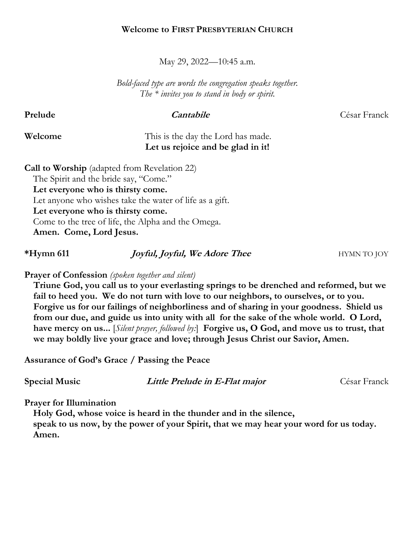### **Welcome to FIRST PRESBYTERIAN CHURCH**

May 29, 2022—10:45 a.m.

*Bold-faced type are words the congregation speaks together. The \* invites you to stand in body or spirit.*

**Prelude Cantabile** César Franck

# **Welcome** This is the day the Lord has made. **Let us rejoice and be glad in it!**

**Call to Worship** (adapted from Revelation 22) The Spirit and the bride say, "Come." **Let everyone who is thirsty come.** Let anyone who wishes take the water of life as a gift. **Let everyone who is thirsty come.** Come to the tree of life, the Alpha and the Omega. **Amen. Come, Lord Jesus.**

# **\*Hymn 611** *Joyful, Joyful, We Adore Thee* **HYMN TO JOY**

**Prayer of Confession** *(spoken together and silent)*

**Triune God, you call us to your everlasting springs to be drenched and reformed, but we fail to heed you. We do not turn with love to our neighbors, to ourselves, or to you. Forgive us for our failings of neighborliness and of sharing in your goodness. Shield us from our due, and guide us into unity with all for the sake of the whole world. O Lord, have mercy on us...** [*Silent prayer, followed by:*] **Forgive us, O God, and move us to trust, that we may boldly live your grace and love; through Jesus Christ our Savior, Amen.**

**Assurance of God's Grace / Passing the Peace**

**Special Music Little Prelude in E-Flat major** César Franck

**Prayer for Illumination**

**Holy God, whose voice is heard in the thunder and in the silence, speak to us now, by the power of your Spirit, that we may hear your word for us today. Amen.**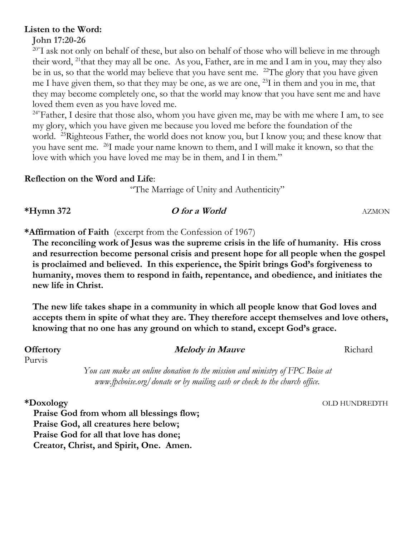# **Listen to the Word:**

# **John 17:20-26**

<sup>20"</sup>I ask not only on behalf of these, but also on behalf of those who will believe in me through their word, <sup>21</sup> that they may all be one. As you, Father, are in me and I am in you, may they also be in us, so that the world may believe that you have sent me. <sup>22</sup>The glory that you have given me I have given them, so that they may be one, as we are one,  $^{23}$ I in them and you in me, that they may become completely one, so that the world may know that you have sent me and have loved them even as you have loved me.

<sup>24"</sup>Father, I desire that those also, whom you have given me, may be with me where I am, to see my glory, which you have given me because you loved me before the foundation of the world. <sup>25</sup>Righteous Father, the world does not know you, but I know you; and these know that you have sent me. <sup>26</sup> I made your name known to them, and I will make it known, so that the love with which you have loved me may be in them, and I in them."

# **Reflection on the Word and Life**:

"The Marriage of Unity and Authenticity"

# **\*Hymn 372 O for a World** AZMON

**\*Affirmation of Faith** (excerpt from the Confession of 1967)

**The reconciling work of Jesus was the supreme crisis in the life of humanity. His cross and resurrection become personal crisis and present hope for all people when the gospel is proclaimed and believed. In this experience, the Spirit brings God's forgiveness to humanity, moves them to respond in faith, repentance, and obedience, and initiates the new life in Christ.** 

**The new life takes shape in a community in which all people know that God loves and accepts them in spite of what they are. They therefore accept themselves and love others, knowing that no one has any ground on which to stand, except God's grace.**

Purvis

# **Offertory** *Melody in Mauve* Richard

*You can make an online donation to the mission and ministry of FPC Boise at www.fpcboise.org/donate or by mailing cash or check to the church office.* 

**\*Doxology** OLD HUNDREDTH

**Praise God from whom all blessings flow; Praise God, all creatures here below; Praise God for all that love has done; Creator, Christ, and Spirit, One. Amen.**